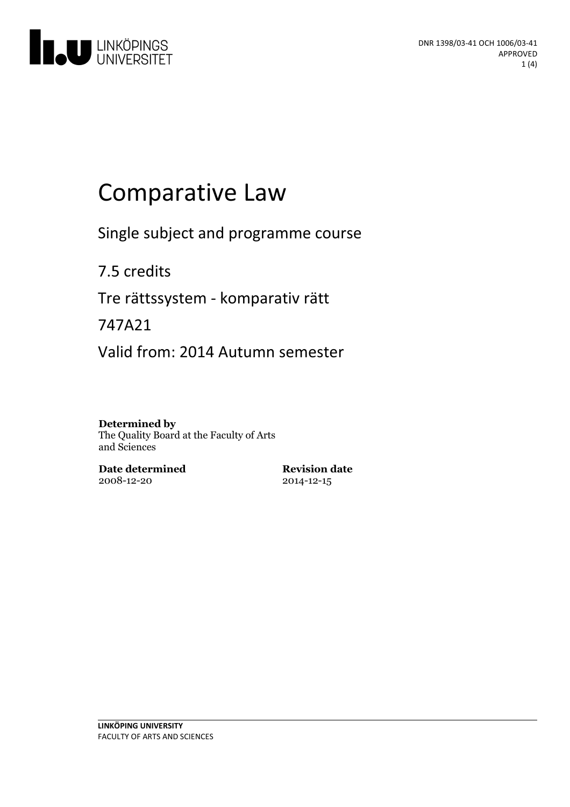

# Comparative Law

Single subject and programme course

7.5 credits

Tre rättssystem - komparativ rätt

747A21

Valid from: 2014 Autumn semester

#### **Determined by**

The Quality Board at the Faculty of Arts and Sciences

**Date determined** 2008-12-20

**Revision date** 2014-12-15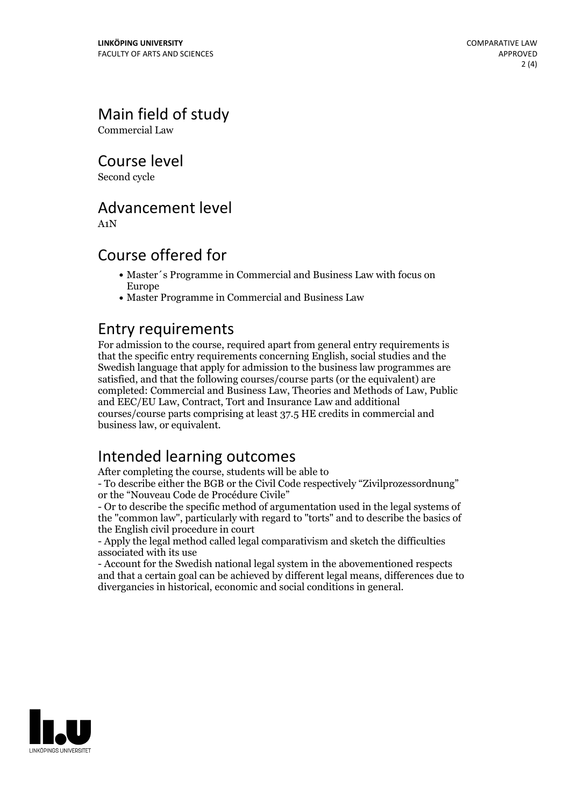## Main field of study

Commercial Law

Course level

Second cycle

## Advancement level

A1N

## Course offered for

- Master´s Programme in Commercial and Business Law with focus on Europe
- Master Programme in Commercial and Business Law

## Entry requirements

For admission to the course, required apart from general entry requirements is that the specific entry requirements concerning English, social studies and the Swedish language that apply for admission to the business law programmes are satisfied, and that the following courses/course parts (or the equivalent) are completed: Commercial and Business Law, Theories and Methods of Law, Public and EEC/EU Law, Contract, Tort and Insurance Law and additional courses/course parts comprising at least 37.5 HE credits in commercial and business law, or equivalent.

## Intended learning outcomes

After completing the course, students will be able to

- To describe either the BGB or the Civil Code respectively "Zivilprozessordnung" or the "Nouveau Code de Procédure Civile"

- Or to describe the specific method of argumentation used in the legal systems of the "common law", particularly with regard to "torts" and to describe the basics of the English civil procedure in court - Apply the legal method called legal comparativism and sketch the difficulties

associated with its use

- Account for the Swedish national legal system in the abovementioned respects and that a certain goal can be achieved by different legal means, differences due to divergancies in historical, economic and social conditions in general.

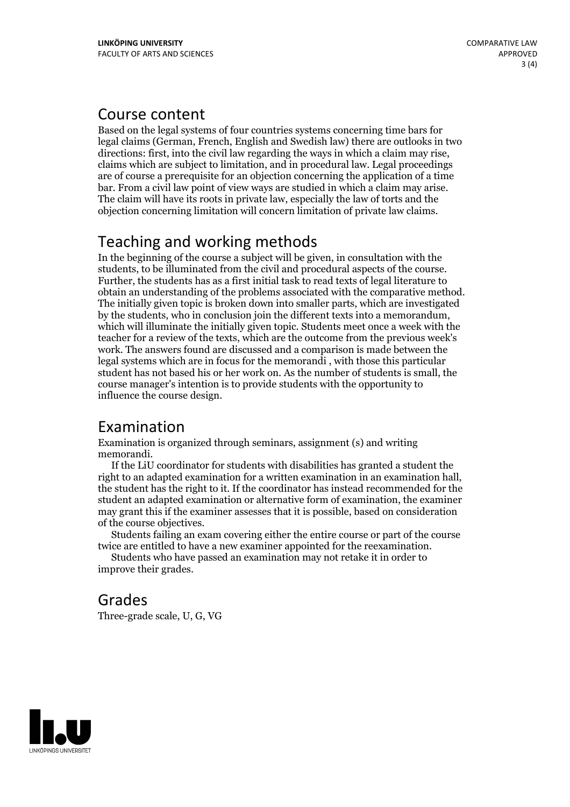#### Course content

Based on the legal systems of four countries systems concerning time bars for legal claims (German, French, English and Swedish law) there are outlooks in two directions: first, into the civil law regarding the ways in which <sup>a</sup> claim may rise, claims which are subject to limitation, and in procedural law. Legal proceedings are of course a prerequisite for an objection concerning the application of a time bar. From <sup>a</sup> civil law point of view ways are studied in which <sup>a</sup> claim may arise. The claim will have its roots in private law, especially the law of torts and the objection concerning limitation will concern limitation of private law claims.

## Teaching and working methods

In the beginning of the course a subject will be given, in consultation with the students, to be illuminated from the civil and procedural aspects of the course. Further, the students has as a first initial task to read texts of legal literature to obtain an understanding of the problems associated with the comparative method. The initially given topic is broken down into smaller parts, which are investigated by the students, who in conclusion join the different texts into <sup>a</sup> memorandum, which will illuminate the initially given topic. Students meet once <sup>a</sup> week with the teacher for a review of the texts, which are the outcome from the previous week's work. The answers found are discussed and a comparison is made between the legal systems which are in focus for the memorandi , with those this particular student has not based his or her work on. As the number of students is small, the course manager's intention is to provide students with the opportunity to influence the course design.

## Examination

Examination is organized through seminars, assignment (s) and writing

memorandi.<br>If the LiU coordinator for students with disabilities has granted a student the<br>right to an adapted examination for a written examination in an examination hall, the student has the right to it. If the coordinator has instead recommended for the student an adapted examination or alternative form of examination, the examiner may grant this if the examiner assesses that it is possible, based on consideration

Students failing an exam covering either the entire course or part of the course

twice are entitled to have <sup>a</sup> new examiner appointed for the reexamination. Students who have passed an examination may not retake it in order to improve their grades.

## Grades

Three-grade scale, U, G, VG